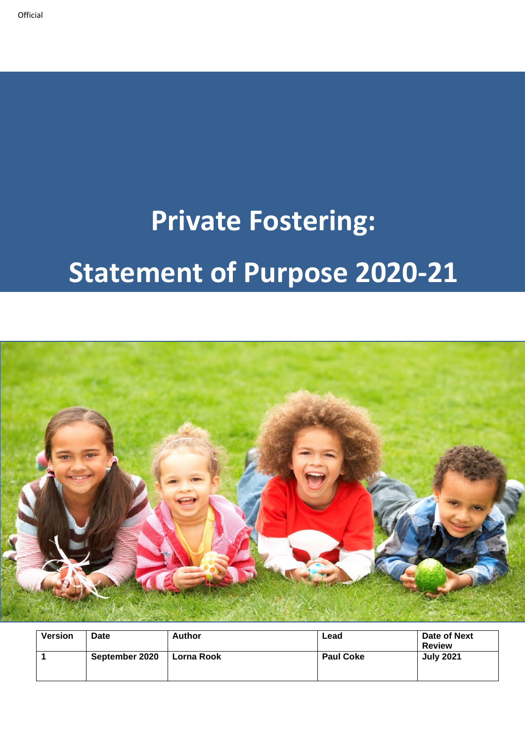# **Private Fostering: Statement of Purpose 2020-21**



| <b>Version</b> | <b>Date</b>    | <b>Author</b> | Lead             | Date of Next<br><b>Review</b> |
|----------------|----------------|---------------|------------------|-------------------------------|
|                | September 2020 | Lorna Rook    | <b>Paul Coke</b> | <b>July 2021</b>              |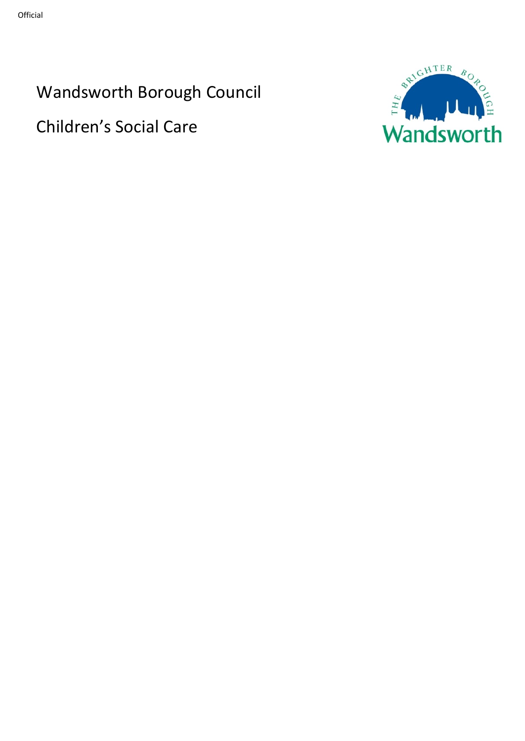Wandsworth Borough Council

Children's Social Care

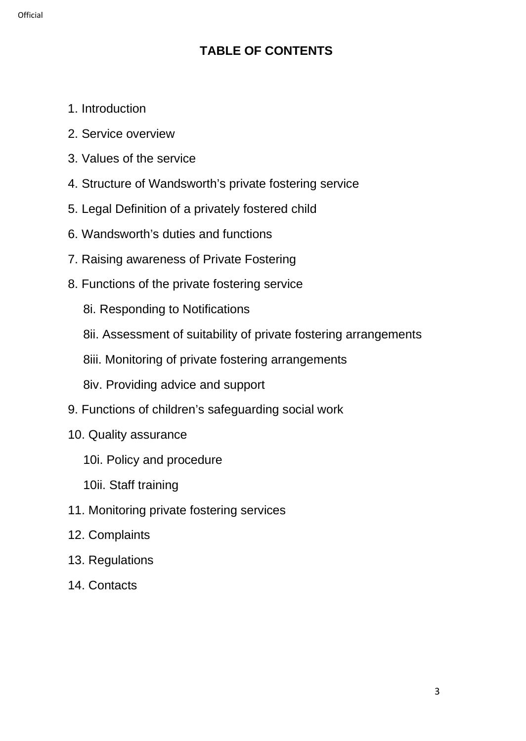# **TABLE OF CONTENTS**

- 1. Introduction
- 2. Service overview
- 3. Values of the service
- 4. Structure of Wandsworth's private fostering service
- 5. Legal Definition of a privately fostered child
- 6. Wandsworth's duties and functions
- 7. Raising awareness of Private Fostering
- 8. Functions of the private fostering service
	- 8i. Responding to Notifications
	- 8ii. Assessment of suitability of private fostering arrangements
	- 8iii. Monitoring of private fostering arrangements
	- 8iv. Providing advice and support
- 9. Functions of children's safeguarding social work
- 10. Quality assurance
	- 10i. Policy and procedure
	- 10ii. Staff training
- 11. Monitoring private fostering services
- 12. Complaints
- 13. Regulations
- 14. Contacts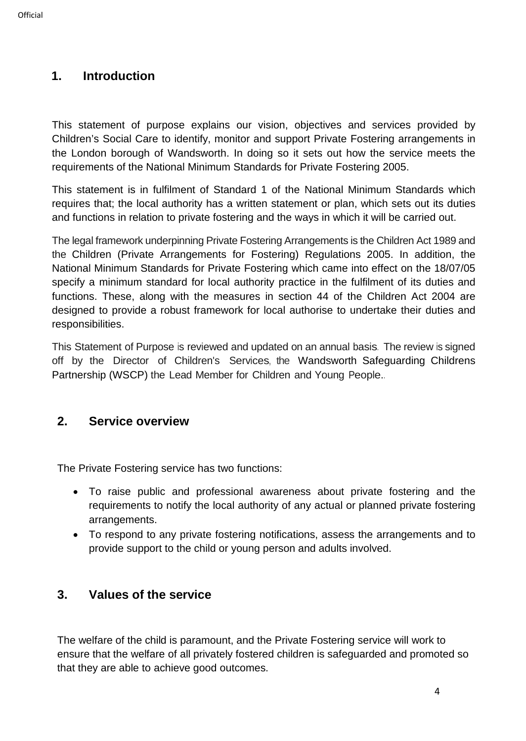## **1. Introduction**

This statement of purpose explains our vision, objectives and services provided by Children's Social Care to identify, monitor and support Private Fostering arrangements in the London borough of Wandsworth. In doing so it sets out how the service meets the requirements of the National Minimum Standards for Private Fostering 2005.

This statement is in fulfilment of Standard 1 of the National Minimum Standards which requires that; the local authority has a written statement or plan, which sets out its duties and functions in relation to private fostering and the ways in which it will be carried out.

The legal framework underpinning Private Fostering Arrangements is the Children Act 1989 and the Children (Private Arrangements for Fostering) Regulations 2005. In addition, the National Minimum Standards for Private Fostering which came into effect on the 18/07/05 specify a minimum standard for local authority practice in the fulfilment of its duties and functions. These, along with the measures in section 44 of the Children Act 2004 are designed to provide a robust framework for local authorise to undertake their duties and responsibilities.

This Statement of Purpose is reviewed and updated on an annual basis. The review is signed off by the Director of Children's Services, the Wandsworth Safeguarding Childrens Partnership (WSCP) the Lead Member for Children and Young People..

## **2. Service overview**

The Private Fostering service has two functions:

- To raise public and professional awareness about private fostering and the requirements to notify the local authority of any actual or planned private fostering arrangements.
- To respond to any private fostering notifications, assess the arrangements and to provide support to the child or young person and adults involved.

## **3. Values of the service**

The welfare of the child is paramount, and the Private Fostering service will work to ensure that the welfare of all privately fostered children is safeguarded and promoted so that they are able to achieve good outcomes.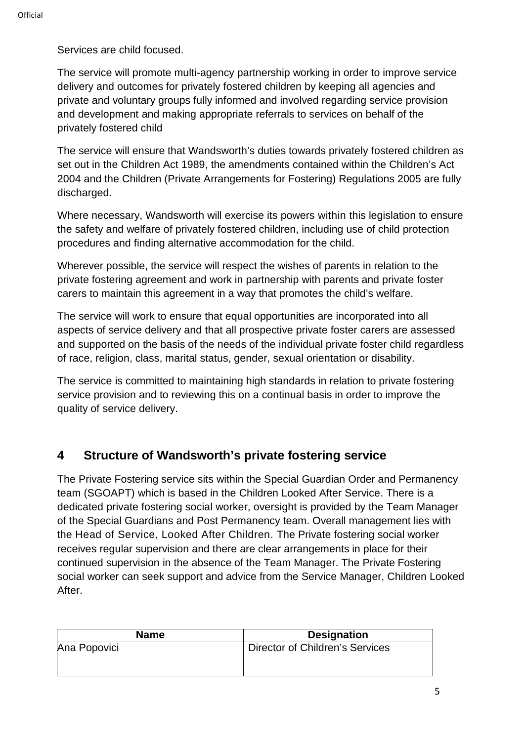Services are child focused.

The service will promote multi-agency partnership working in order to improve service delivery and outcomes for privately fostered children by keeping all agencies and private and voluntary groups fully informed and involved regarding service provision and development and making appropriate referrals to services on behalf of the privately fostered child

The service will ensure that Wandsworth's duties towards privately fostered children as set out in the Children Act 1989, the amendments contained within the Children's Act 2004 and the Children (Private Arrangements for Fostering) Regulations 2005 are fully discharged.

Where necessary, Wandsworth will exercise its powers within this legislation to ensure the safety and welfare of privately fostered children, including use of child protection procedures and finding alternative accommodation for the child.

Wherever possible, the service will respect the wishes of parents in relation to the private fostering agreement and work in partnership with parents and private foster carers to maintain this agreement in a way that promotes the child's welfare.

The service will work to ensure that equal opportunities are incorporated into all aspects of service delivery and that all prospective private foster carers are assessed and supported on the basis of the needs of the individual private foster child regardless of race, religion, class, marital status, gender, sexual orientation or disability.

The service is committed to maintaining high standards in relation to private fostering service provision and to reviewing this on a continual basis in order to improve the quality of service delivery.

# **4 Structure of Wandsworth's private fostering service**

The Private Fostering service sits within the Special Guardian Order and Permanency team (SGOAPT) which is based in the Children Looked After Service. There is a dedicated private fostering social worker, oversight is provided by the Team Manager of the Special Guardians and Post Permanency team. Overall management lies with the Head of Service, Looked After Children. The Private fostering social worker receives regular supervision and there are clear arrangements in place for their continued supervision in the absence of the Team Manager. The Private Fostering social worker can seek support and advice from the Service Manager, Children Looked After.

| <b>Name</b>  | <b>Designation</b>              |
|--------------|---------------------------------|
| Ana Popovici | Director of Children's Services |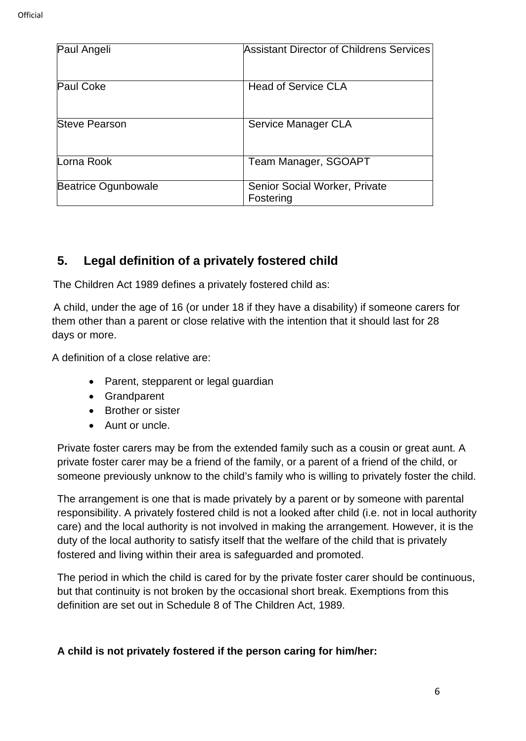| Paul Angeli          | Assistant Director of Childrens Services   |
|----------------------|--------------------------------------------|
| <b>Paul Coke</b>     | <b>Head of Service CLA</b>                 |
| <b>Steve Pearson</b> | Service Manager CLA                        |
| Lorna Rook           | Team Manager, SGOAPT                       |
| Beatrice Ogunbowale  | Senior Social Worker, Private<br>Fostering |

## **5. Legal definition of a privately fostered child**

The Children Act 1989 defines a privately fostered child as:

A child, under the age of 16 (or under 18 if they have a disability) if someone carers for them other than a parent or close relative with the intention that it should last for 28 days or more.

A definition of a close relative are:

- Parent, stepparent or legal guardian
- Grandparent
- Brother or sister
- Aunt or uncle.

Private foster carers may be from the extended family such as a cousin or great aunt. A private foster carer may be a friend of the family, or a parent of a friend of the child, or someone previously unknow to the child's family who is willing to privately foster the child.

The arrangement is one that is made privately by a parent or by someone with parental responsibility. A privately fostered child is not a looked after child (i.e. not in local authority care) and the local authority is not involved in making the arrangement. However, it is the duty of the local authority to satisfy itself that the welfare of the child that is privately fostered and living within their area is safeguarded and promoted.

The period in which the child is cared for by the private foster carer should be continuous, but that continuity is not broken by the occasional short break. Exemptions from this definition are set out in Schedule 8 of The Children Act, 1989.

#### **A child is not privately fostered if the person caring for him/her:**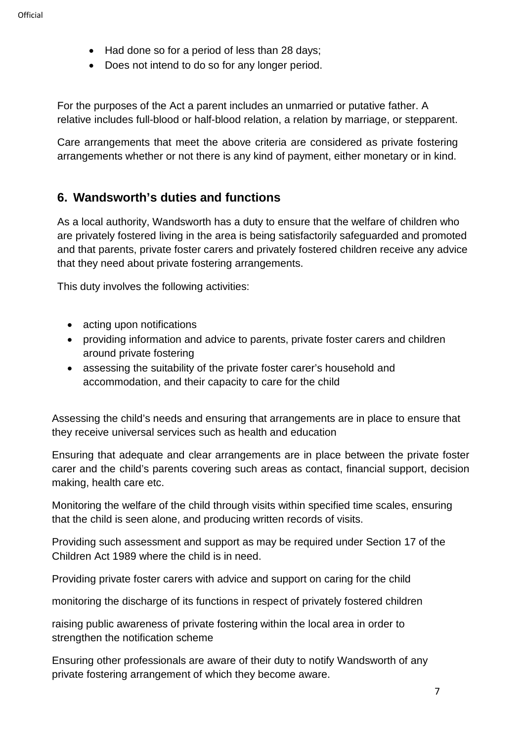- Had done so for a period of less than 28 days;
- Does not intend to do so for any longer period.

For the purposes of the Act a parent includes an unmarried or putative father. A relative includes full-blood or half-blood relation, a relation by marriage, or stepparent.

Care arrangements that meet the above criteria are considered as private fostering arrangements whether or not there is any kind of payment, either monetary or in kind.

## **6. Wandsworth's duties and functions**

As a local authority, Wandsworth has a duty to ensure that the welfare of children who are privately fostered living in the area is being satisfactorily safeguarded and promoted and that parents, private foster carers and privately fostered children receive any advice that they need about private fostering arrangements.

This duty involves the following activities:

- acting upon notifications
- providing information and advice to parents, private foster carers and children around private fostering
- assessing the suitability of the private foster carer's household and accommodation, and their capacity to care for the child

Assessing the child's needs and ensuring that arrangements are in place to ensure that they receive universal services such as health and education

Ensuring that adequate and clear arrangements are in place between the private foster carer and the child's parents covering such areas as contact, financial support, decision making, health care etc.

Monitoring the welfare of the child through visits within specified time scales, ensuring that the child is seen alone, and producing written records of visits.

Providing such assessment and support as may be required under Section 17 of the Children Act 1989 where the child is in need.

Providing private foster carers with advice and support on caring for the child

monitoring the discharge of its functions in respect of privately fostered children

raising public awareness of private fostering within the local area in order to strengthen the notification scheme

Ensuring other professionals are aware of their duty to notify Wandsworth of any private fostering arrangement of which they become aware.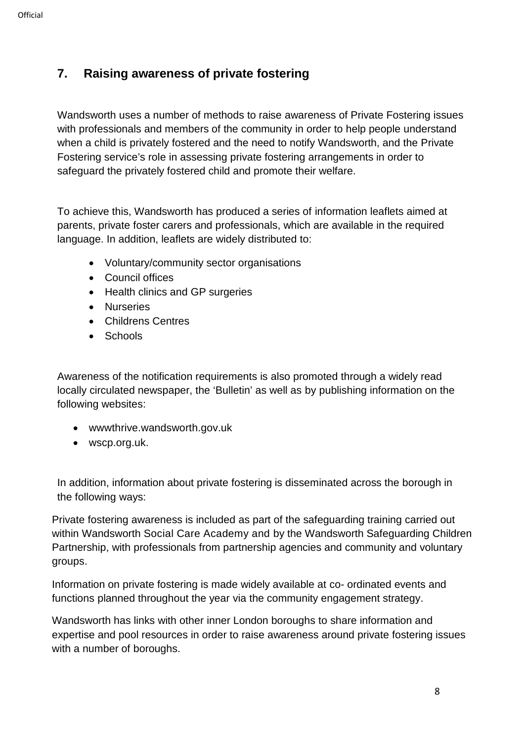## **7. Raising awareness of private fostering**

Wandsworth uses a number of methods to raise awareness of Private Fostering issues with professionals and members of the community in order to help people understand when a child is privately fostered and the need to notify Wandsworth, and the Private Fostering service's role in assessing private fostering arrangements in order to safeguard the privately fostered child and promote their welfare.

To achieve this, Wandsworth has produced a series of information leaflets aimed at parents, private foster carers and professionals, which are available in the required language. In addition, leaflets are widely distributed to:

- Voluntary/community sector organisations
- Council offices
- Health clinics and GP surgeries
- Nurseries
- Childrens Centres
- Schools

Awareness of the notification requirements is also promoted through a widely read locally circulated newspaper, the 'Bulletin' as well as by publishing information on the following websites:

- wwwthrive.wandsworth.gov.uk
- wscp.org.uk.

In addition, information about private fostering is disseminated across the borough in the following ways:

Private fostering awareness is included as part of the safeguarding training carried out within Wandsworth Social Care Academy and by the Wandsworth Safeguarding Children Partnership, with professionals from partnership agencies and community and voluntary groups.

Information on private fostering is made widely available at co- ordinated events and functions planned throughout the year via the community engagement strategy.

Wandsworth has links with other inner London boroughs to share information and expertise and pool resources in order to raise awareness around private fostering issues with a number of boroughs.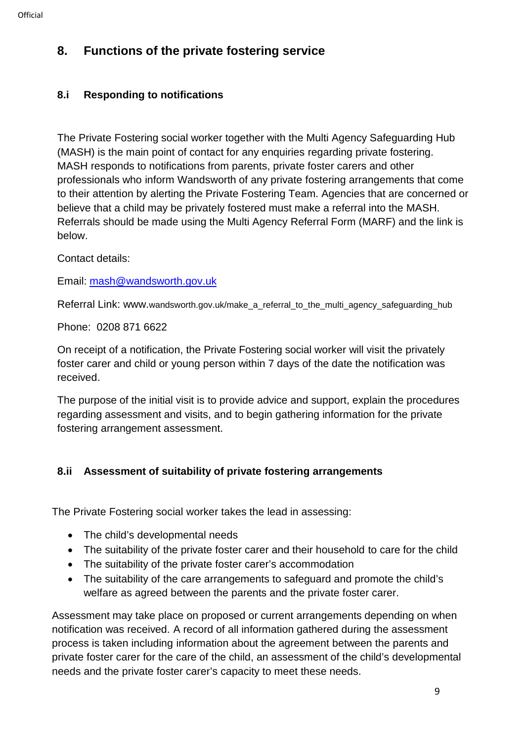# **8. Functions of the private fostering service**

## **8.i Responding to notifications**

The Private Fostering social worker together with the Multi Agency Safeguarding Hub (MASH) is the main point of contact for any enquiries regarding private fostering. MASH responds to notifications from parents, private foster carers and other professionals who inform Wandsworth of any private fostering arrangements that come to their attention by alerting the Private Fostering Team. Agencies that are concerned or believe that a child may be privately fostered must make a referral into the MASH. Referrals should be made using the Multi Agency Referral Form (MARF) and the link is below.

Contact details:

Email: [mash@wandsworth.gov.uk](mailto:mash@wandsworth.gov.uk)

Referral Link: www.wandsworth.gov.uk/make\_a\_referral\_to\_the\_multi\_agency\_safeguarding\_hub

Phone: 0208 871 6622

On receipt of a notification, the Private Fostering social worker will visit the privately foster carer and child or young person within 7 days of the date the notification was received.

The purpose of the initial visit is to provide advice and support, explain the procedures regarding assessment and visits, and to begin gathering information for the private fostering arrangement assessment.

## **8.ii Assessment of suitability of private fostering arrangements**

The Private Fostering social worker takes the lead in assessing:

- The child's developmental needs
- The suitability of the private foster carer and their household to care for the child
- The suitability of the private foster carer's accommodation
- The suitability of the care arrangements to safeguard and promote the child's welfare as agreed between the parents and the private foster carer.

Assessment may take place on proposed or current arrangements depending on when notification was received. A record of all information gathered during the assessment process is taken including information about the agreement between the parents and private foster carer for the care of the child, an assessment of the child's developmental needs and the private foster carer's capacity to meet these needs.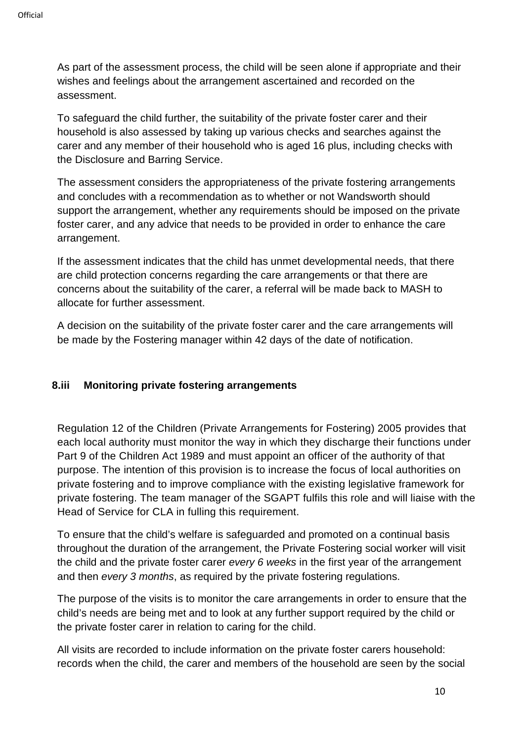As part of the assessment process, the child will be seen alone if appropriate and their wishes and feelings about the arrangement ascertained and recorded on the assessment.

To safeguard the child further, the suitability of the private foster carer and their household is also assessed by taking up various checks and searches against the carer and any member of their household who is aged 16 plus, including checks with the Disclosure and Barring Service.

The assessment considers the appropriateness of the private fostering arrangements and concludes with a recommendation as to whether or not Wandsworth should support the arrangement, whether any requirements should be imposed on the private foster carer, and any advice that needs to be provided in order to enhance the care arrangement.

If the assessment indicates that the child has unmet developmental needs, that there are child protection concerns regarding the care arrangements or that there are concerns about the suitability of the carer, a referral will be made back to MASH to allocate for further assessment.

A decision on the suitability of the private foster carer and the care arrangements will be made by the Fostering manager within 42 days of the date of notification.

#### **8.iii Monitoring private fostering arrangements**

Regulation 12 of the Children (Private Arrangements for Fostering) 2005 provides that each local authority must monitor the way in which they discharge their functions under Part 9 of the Children Act 1989 and must appoint an officer of the authority of that purpose. The intention of this provision is to increase the focus of local authorities on private fostering and to improve compliance with the existing legislative framework for private fostering. The team manager of the SGAPT fulfils this role and will liaise with the Head of Service for CLA in fulling this requirement.

To ensure that the child's welfare is safeguarded and promoted on a continual basis throughout the duration of the arrangement, the Private Fostering social worker will visit the child and the private foster carer *every 6 weeks* in the first year of the arrangement and then *every 3 months*, as required by the private fostering regulations.

The purpose of the visits is to monitor the care arrangements in order to ensure that the child's needs are being met and to look at any further support required by the child or the private foster carer in relation to caring for the child.

All visits are recorded to include information on the private foster carers household: records when the child, the carer and members of the household are seen by the social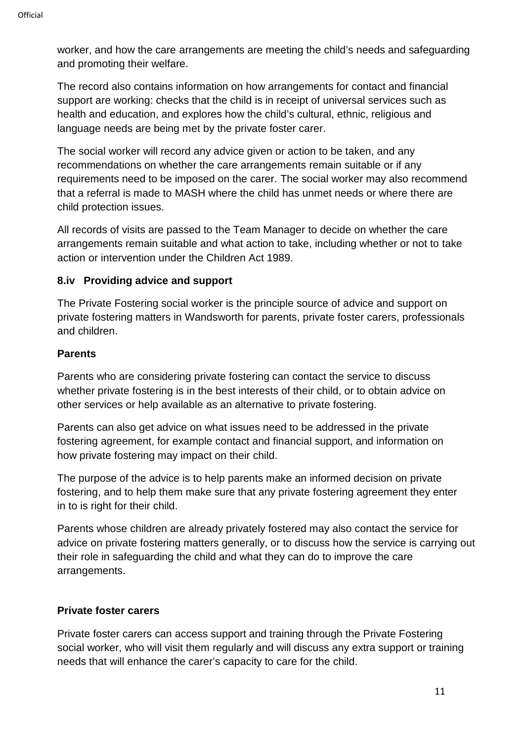worker, and how the care arrangements are meeting the child's needs and safeguarding and promoting their welfare.

The record also contains information on how arrangements for contact and financial support are working: checks that the child is in receipt of universal services such as health and education, and explores how the child's cultural, ethnic, religious and language needs are being met by the private foster carer.

The social worker will record any advice given or action to be taken, and any recommendations on whether the care arrangements remain suitable or if any requirements need to be imposed on the carer. The social worker may also recommend that a referral is made to MASH where the child has unmet needs or where there are child protection issues.

All records of visits are passed to the Team Manager to decide on whether the care arrangements remain suitable and what action to take, including whether or not to take action or intervention under the Children Act 1989.

#### **8.iv Providing advice and support**

The Private Fostering social worker is the principle source of advice and support on private fostering matters in Wandsworth for parents, private foster carers, professionals and children.

#### **Parents**

Parents who are considering private fostering can contact the service to discuss whether private fostering is in the best interests of their child, or to obtain advice on other services or help available as an alternative to private fostering.

Parents can also get advice on what issues need to be addressed in the private fostering agreement, for example contact and financial support, and information on how private fostering may impact on their child.

The purpose of the advice is to help parents make an informed decision on private fostering, and to help them make sure that any private fostering agreement they enter in to is right for their child.

Parents whose children are already privately fostered may also contact the service for advice on private fostering matters generally, or to discuss how the service is carrying out their role in safeguarding the child and what they can do to improve the care arrangements.

#### **Private foster carers**

Private foster carers can access support and training through the Private Fostering social worker, who will visit them regularly and will discuss any extra support or training needs that will enhance the carer's capacity to care for the child.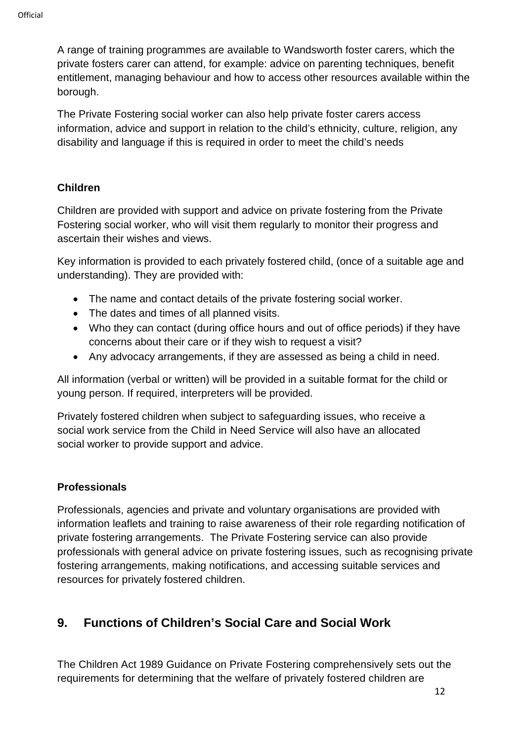A range of training programmes are available to Wandsworth foster carers, which the private fosters carer can attend, for example: advice on parenting techniques, benefit entitlement, managing behaviour and how to access other resources available within the borough.

The Private Fostering social worker can also help private foster carers access information, advice and support in relation to the child's ethnicity, culture, religion, any disability and language if this is required in order to meet the child's needs

#### **Children**

Children are provided with support and advice on private fostering from the Private Fostering social worker, who will visit them regularly to monitor their progress and ascertain their wishes and views.

Key information is provided to each privately fostered child, (once of a suitable age and understanding). They are provided with:

- The name and contact details of the private fostering social worker.
- The dates and times of all planned visits.
- Who they can contact (during office hours and out of office periods) if they have concerns about their care or if they wish to request a visit?
- Any advocacy arrangements, if they are assessed as being a child in need.

All information (verbal or written) will be provided in a suitable format for the child or young person. If required, interpreters will be provided.

Privately fostered children when subject to safeguarding issues, who receive a social work service from the Child in Need Service will also have an allocated social worker to provide support and advice.

#### **Professionals**

Professionals, agencies and private and voluntary organisations are provided with information leaflets and training to raise awareness of their role regarding notification of private fostering arrangements. The Private Fostering service can also provide professionals with general advice on private fostering issues, such as recognising private fostering arrangements, making notifications, and accessing suitable services and resources for privately fostered children.

# **9. Functions of Children's Social Care and Social Work**

The Children Act 1989 Guidance on Private Fostering comprehensively sets out the requirements for determining that the welfare of privately fostered children are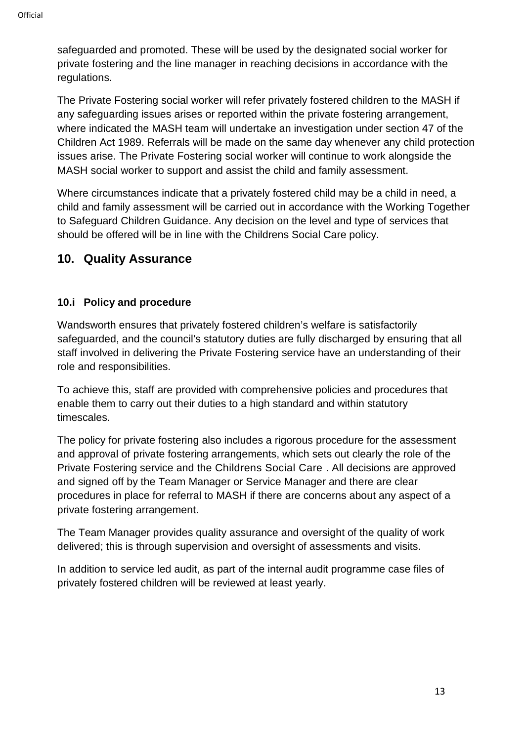safeguarded and promoted. These will be used by the designated social worker for private fostering and the line manager in reaching decisions in accordance with the regulations.

The Private Fostering social worker will refer privately fostered children to the MASH if any safeguarding issues arises or reported within the private fostering arrangement, where indicated the MASH team will undertake an investigation under section 47 of the Children Act 1989. Referrals will be made on the same day whenever any child protection issues arise. The Private Fostering social worker will continue to work alongside the MASH social worker to support and assist the child and family assessment.

Where circumstances indicate that a privately fostered child may be a child in need, a child and family assessment will be carried out in accordance with the Working Together to Safeguard Children Guidance. Any decision on the level and type of services that should be offered will be in line with the Childrens Social Care policy.

## **10. Quality Assurance**

## **10.i Policy and procedure**

Wandsworth ensures that privately fostered children's welfare is satisfactorily safeguarded, and the council's statutory duties are fully discharged by ensuring that all staff involved in delivering the Private Fostering service have an understanding of their role and responsibilities.

To achieve this, staff are provided with comprehensive policies and procedures that enable them to carry out their duties to a high standard and within statutory timescales.

The policy for private fostering also includes a rigorous procedure for the assessment and approval of private fostering arrangements, which sets out clearly the role of the Private Fostering service and the Childrens Social Care . All decisions are approved and signed off by the Team Manager or Service Manager and there are clear procedures in place for referral to MASH if there are concerns about any aspect of a private fostering arrangement.

The Team Manager provides quality assurance and oversight of the quality of work delivered; this is through supervision and oversight of assessments and visits.

In addition to service led audit, as part of the internal audit programme case files of privately fostered children will be reviewed at least yearly.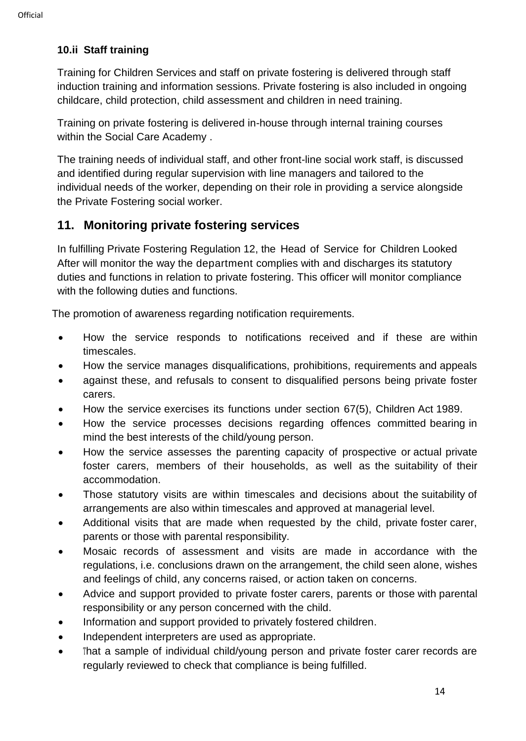## **10.ii Staff training**

Training for Children Services and staff on private fostering is delivered through staff induction training and information sessions. Private fostering is also included in ongoing childcare, child protection, child assessment and children in need training.

Training on private fostering is delivered in-house through internal training courses within the Social Care Academy .

The training needs of individual staff, and other front-line social work staff, is discussed and identified during regular supervision with line managers and tailored to the individual needs of the worker, depending on their role in providing a service alongside the Private Fostering social worker.

# **11. Monitoring private fostering services**

In fulfilling Private Fostering Regulation 12, the Head of Service for Children Looked After will monitor the way the department complies with and discharges its statutory duties and functions in relation to private fostering. This officer will monitor compliance with the following duties and functions.

The promotion of awareness regarding notification requirements.

- How the service responds to notifications received and if these are within timescales.
- How the service manages disqualifications, prohibitions, requirements and appeals
- against these, and refusals to consent to disqualified persons being private foster carers.
- How the service exercises its functions under section 67(5), Children Act 1989.
- How the service processes decisions regarding offences committed bearing in mind the best interests of the child/young person.
- How the service assesses the parenting capacity of prospective or actual private foster carers, members of their households, as well as the suitability of their accommodation.
- Those statutory visits are within timescales and decisions about the suitability of arrangements are also within timescales and approved at managerial level.
- Additional visits that are made when requested by the child, private foster carer, parents or those with parental responsibility.
- Mosaic records of assessment and visits are made in accordance with the regulations, i.e. conclusions drawn on the arrangement, the child seen alone, wishes and feelings of child, any concerns raised, or action taken on concerns.
- Advice and support provided to private foster carers, parents or those with parental responsibility or any person concerned with the child.
- Information and support provided to privately fostered children.
- Independent interpreters are used as appropriate.
- That a sample of individual child/young person and private foster carer records are regularly reviewed to check that compliance is being fulfilled.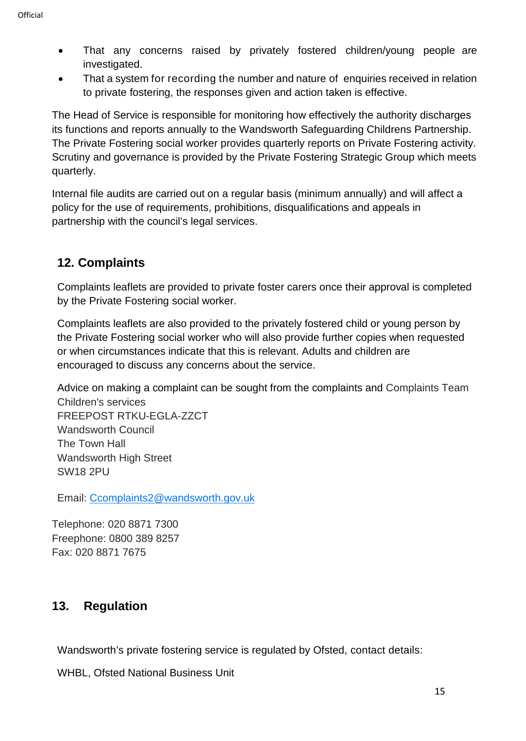- That any concerns raised by privately fostered children/young people are investigated.
- That a system for recording the number and nature of enquiries received in relation to private fostering, the responses given and action taken is effective.

The Head of Service is responsible for monitoring how effectively the authority discharges its functions and reports annually to the Wandsworth Safeguarding Childrens Partnership. The Private Fostering social worker provides quarterly reports on Private Fostering activity. Scrutiny and governance is provided by the Private Fostering Strategic Group which meets quarterly.

Internal file audits are carried out on a regular basis (minimum annually) and will affect a policy for the use of requirements, prohibitions, disqualifications and appeals in partnership with the council's legal services.

# **12. Complaints**

Complaints leaflets are provided to private foster carers once their approval is completed by the Private Fostering social worker.

Complaints leaflets are also provided to the privately fostered child or young person by the Private Fostering social worker who will also provide further copies when requested or when circumstances indicate that this is relevant. Adults and children are encouraged to discuss any concerns about the service.

Advice on making a complaint can be sought from the complaints and Complaints Team Children's services FREEPOST RTKU-EGLA-ZZCT Wandsworth Council The Town Hall Wandsworth High Street

Email: [Ccomplaints2@wandsworth.gov.uk](mailto:Ccomplaints2@wandsworth.gov.uk)

Telephone: 020 8871 7300 Freephone: 0800 389 8257 Fax: 020 8871 7675

# **13. Regulation**

SW18 2PU

Wandsworth's private fostering service is regulated by Ofsted, contact details:

WHBL, Ofsted National Business Unit